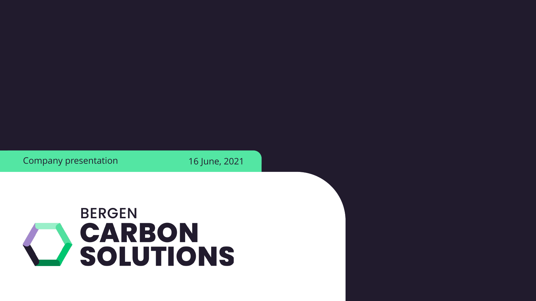

Company presentation 16 June, 2021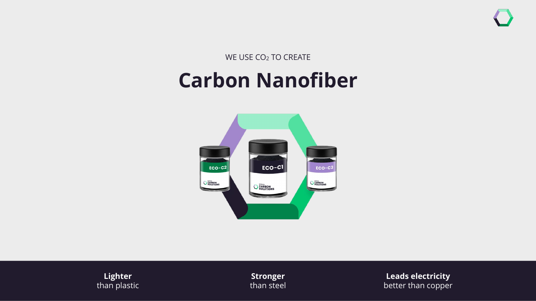WE USE CO<sup>2</sup> TO CREATE

## **Carbon Nanofiber**



**Lighter** than plastic

**Stronger** than steel

**Leads electricity**  better than copper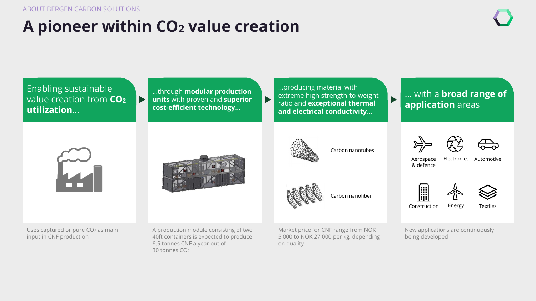## **A pioneer within CO<sup>2</sup> value creation**

Enabling sustainable …through **modular production**  value creation from **CO<sup>2</sup>**  $\blacktriangleright$ **units** with proven and **superior cost-efficient technology**… **utilization**…

…producing material with extreme high strength-to-weight ratio and **exceptional thermal and electrical conductivity**…

 $\blacktriangleright$ 

Carbon nanotubes

 $\blacktriangleright$ 

Carbon nanofiber

#### … with a **broad range of application** areas





Uses captured or pure CO<sub>2</sub> as main input in CNF production

A production module consisting of two 40ft containers is expected to produce 6.5 tonnes CNF a year out of 30 tonnes CO<sub>2</sub>

Market price for CNF range from NOK 5 000 to NOK 27 000 per kg, depending on quality





Aerospace & defence Electronics Automotive





Construction

Textiles

New applications are continuously being developed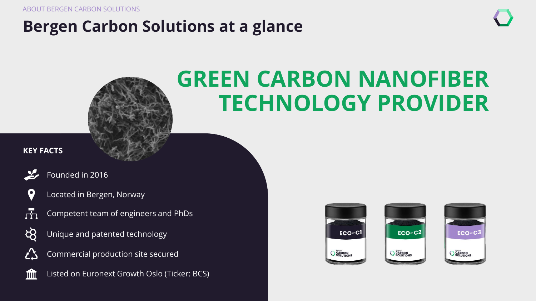ABOUT BERGEN CARBON SOLUTIONS

## **Bergen Carbon Solutions at a glance**



# **GREEN CARBON NANOFIBER TECHNOLOGY PROVIDER**

#### **KEY FACTS**



 $\overline{r}$ 

**him** 

Founded in 2016



- Competent team of engineers and PhDs
- ਲੋ Unique and patented technology
- Commercial production site secured ŹŠ



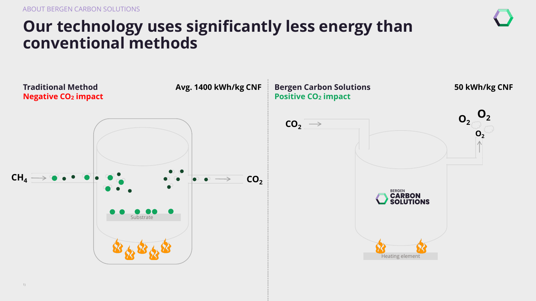## **Our technology uses significantly less energy than conventional methods**

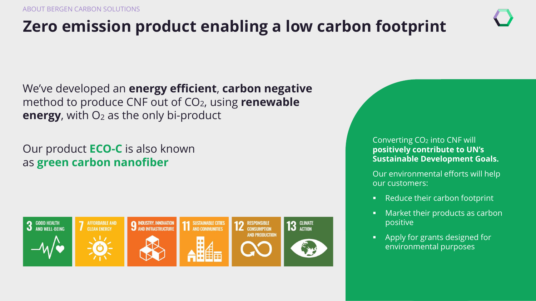## **Zero emission product enabling a low carbon footprint**

We've developed an **energy efficient**, **carbon negative** method to produce CNF out of CO2, using **renewable energy**, with O<sub>2</sub> as the only bi-product

Our product **ECO-C** is also known as **green carbon nanofiber**



Converting CO<sup>2</sup> into CNF will **positively contribute to UN's Sustainable Development Goals.**

Our environmental efforts will help our customers:

- Reduce their carbon footprint
- Market their products as carbon positive
- Apply for grants designed for environmental purposes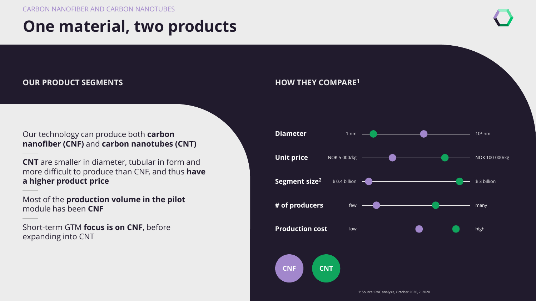## **One material, two products**

#### **OUR PRODUCT SEGMENTS**

#### Our technology can produce both **carbon nanofiber (CNF)** and **carbon nanotubes (CNT)**

**CNT** are smaller in diameter, tubular in form and more difficult to produce than CNF, and thus **have a higher product price**

Most of the **production volume in the pilot**  module has been **CNF**

Short-term GTM **focus is on CNF**, before expanding into CNT

#### **HOW THEY COMPARE<sup>1</sup>**



1: Source: PwC analysis, October 2020, 2: 2020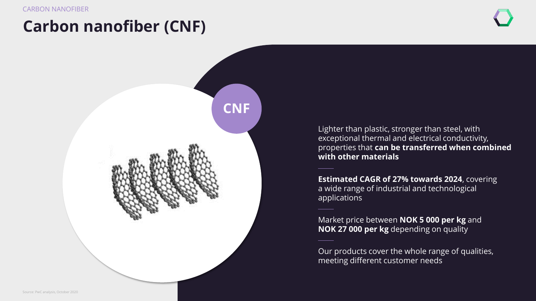## **Carbon nanofiber (CNF)**



Lighter than plastic, stronger than steel, with exceptional thermal and electrical conductivity, properties that **can be transferred when combined with other materials** 

**Estimated CAGR of 27% towards 2024**, covering a wide range of industrial and technological applications

Market price between **NOK 5 000 per kg** and **NOK 27 000 per kg** depending on quality

Our products cover the whole range of qualities, meeting different customer needs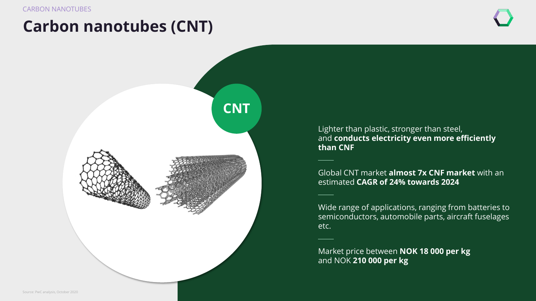## **Carbon nanotubes (CNT)**

![](_page_8_Picture_3.jpeg)

Lighter than plastic, stronger than steel, and **conducts electricity even more efficiently than CNF**

Global CNT market **almost 7x CNF market** with an estimated **CAGR of 24% towards 2024**

Wide range of applications, ranging from batteries to semiconductors, automobile parts, aircraft fuselages etc.

Market price between **NOK 18 000 per kg**  and NOK **210 000 per kg**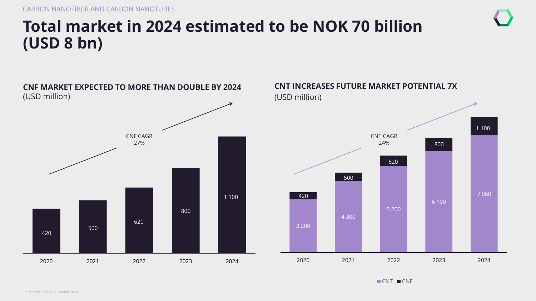## **Total market in 2024 estimated to be NOK 70 billion (USD 8 bn)**

![](_page_9_Figure_2.jpeg)

![](_page_9_Figure_3.jpeg)

CNT CNF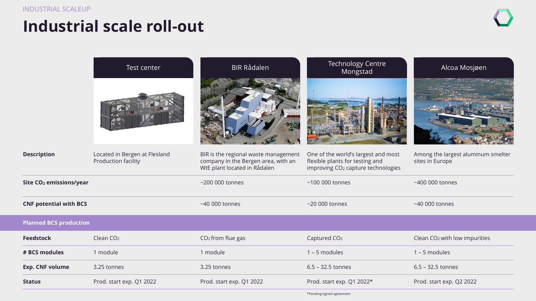## **Industrial scale roll-out**

|                                     | Test center                                          | <b>BIR Rådalen</b>                                                                                          | <b>Technology Centre</b><br>Mongstad                                                                                     | Alcoa Mosjøen                                         |
|-------------------------------------|------------------------------------------------------|-------------------------------------------------------------------------------------------------------------|--------------------------------------------------------------------------------------------------------------------------|-------------------------------------------------------|
| <b>Description</b>                  | Located in Bergen at Flesland<br>Production facility | BIR is the regional waste management<br>company in the Bergen area, with an<br>WtE plant located in Rådalen | One of the world's largest and most<br>flexible plants for testing and<br>improving CO <sub>2</sub> capture technologies | Among the largest aluminum smelter<br>sites in Europe |
| Site CO <sub>2</sub> emissions/year |                                                      | $~1$ 200 000 tonnes                                                                                         | $~100$ 000 tonnes                                                                                                        | ~400 000 tonnes                                       |
| <b>CNF potential with BCS</b>       |                                                      | $~1000$ tonnes                                                                                              | $~20000$ tonnes                                                                                                          | $~1000$ tonnes                                        |
| <b>Planned BCS production</b>       |                                                      |                                                                                                             |                                                                                                                          |                                                       |
| <b>Feedstock</b>                    | Clean CO <sub>2</sub>                                | CO <sub>2</sub> from flue gas                                                                               | Captured CO <sub>2</sub>                                                                                                 | Clean CO <sub>2</sub> with low impurities             |
| # BCS modules                       | 1 module                                             | 1 module                                                                                                    | $1 - 5$ modules                                                                                                          | $1 - 5$ modules                                       |
| <b>Exp. CNF volume</b>              | 3.25 tonnes                                          | 3.25 tonnes                                                                                                 | $6.5 - 32.5$ tonnes                                                                                                      | $6.5 - 32.5$ tonnes                                   |
| <b>Status</b>                       | Prod. start exp. Q1 2022                             | Prod. start exp. Q1 2022                                                                                    | Prod. start exp. Q1 2022*                                                                                                | Prod. start exp. Q2 2022                              |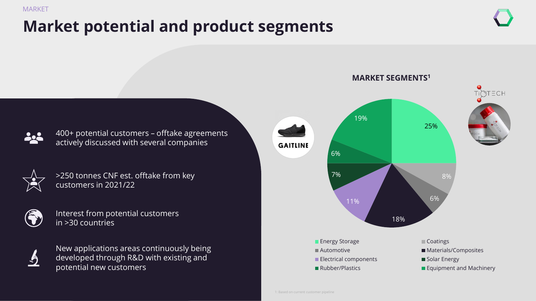#### MARKET

## **Market potential and product segments**

![](_page_11_Figure_3.jpeg)

400+ potential customers – offtake agreements actively discussed with several companies

![](_page_11_Picture_5.jpeg)

>250 tonnes CNF est. offtake from key customers in 2021/22

![](_page_11_Picture_7.jpeg)

9

Interest from potential customers in >30 countries

![](_page_11_Picture_9.jpeg)

![](_page_11_Figure_10.jpeg)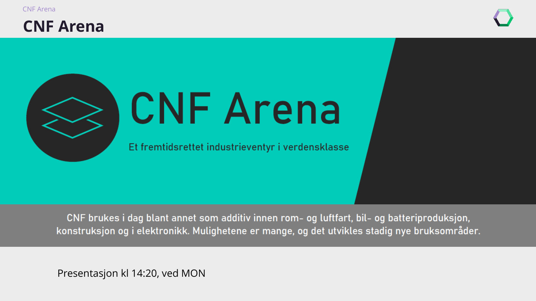![](_page_12_Picture_0.jpeg)

### **CNF Arena**

![](_page_12_Picture_2.jpeg)

# **CNF Arena**

Et fremtidsrettet industrieventyr i verdensklasse

CNF brukes i dag blant annet som additiv innen rom- og luftfart, bil- og batteriproduksjon, konstruksjon og i elektronikk. Mulighetene er mange, og det utvikles stadig nye bruksområder.

Presentasjon kl 14:20, ved MON